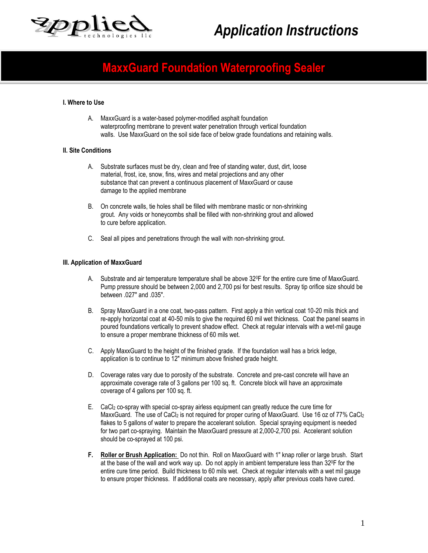

# *Application Instructions*

# **MaxxGuard Foundation Waterproofing Sealer**

### **I. Where to Use**

A. MaxxGuard is a water-based polymer-modified asphalt foundation waterproofing membrane to prevent water penetration through vertical foundation walls. Use MaxxGuard on the soil side face of below grade foundations and retaining walls.

# **II. Site Conditions**

- A. Substrate surfaces must be dry, clean and free of standing water, dust, dirt, loose material, frost, ice, snow, fins, wires and metal projections and any other substance that can prevent a continuous placement of MaxxGuard or cause damage to the applied membrane
- B. On concrete walls, tie holes shall be filled with membrane mastic or non-shrinking grout. Any voids or honeycombs shall be filled with non-shrinking grout and allowed to cure before application.
- C. Seal all pipes and penetrations through the wall with non-shrinking grout.

#### **III. Application of MaxxGuard**

- A. Substrate and air temperature temperature shall be above 320F for the entire cure time of MaxxGuard. Pump pressure should be between 2,000 and 2,700 psi for best results. Spray tip orifice size should be between .027" and .035".
- B. Spray MaxxGuard in a one coat, two-pass pattern. First apply a thin vertical coat 10-20 mils thick and re-apply horizontal coat at 40-50 mils to give the required 60 mil wet thickness. Coat the panel seams in poured foundations vertically to prevent shadow effect. Check at regular intervals with a wet-mil gauge to ensure a proper membrane thickness of 60 mils wet.
- C. Apply MaxxGuard to the height of the finished grade. If the foundation wall has a brick ledge, application is to continue to 12" minimum above finished grade height.
- D. Coverage rates vary due to porosity of the substrate. Concrete and pre-cast concrete will have an approximate coverage rate of 3 gallons per 100 sq. ft. Concrete block will have an approximate coverage of 4 gallons per 100 sq. ft.
- E. CaCl<sup>2</sup> co-spray with special co-spray airless equipment can greatly reduce the cure time for MaxxGuard. The use of CaCl<sub>2</sub> is not required for proper curing of MaxxGuard. Use 16 oz of 77% CaCl<sub>2</sub> flakes to 5 gallons of water to prepare the accelerant solution. Special spraying equipment is needed for two part co-spraying. Maintain the MaxxGuard pressure at 2,000-2,700 psi. Accelerant solution should be co-sprayed at 100 psi.
- **F. Roller or Brush Application:** Do not thin. Roll on MaxxGuard with 1" knap roller or large brush. Start at the base of the wall and work way up. Do not apply in ambient temperature less than 32<sup>o</sup>F for the entire cure time period. Build thickness to 60 mils wet. Check at regular intervals with a wet mil gauge to ensure proper thickness. If additional coats are necessary, apply after previous coats have cured.